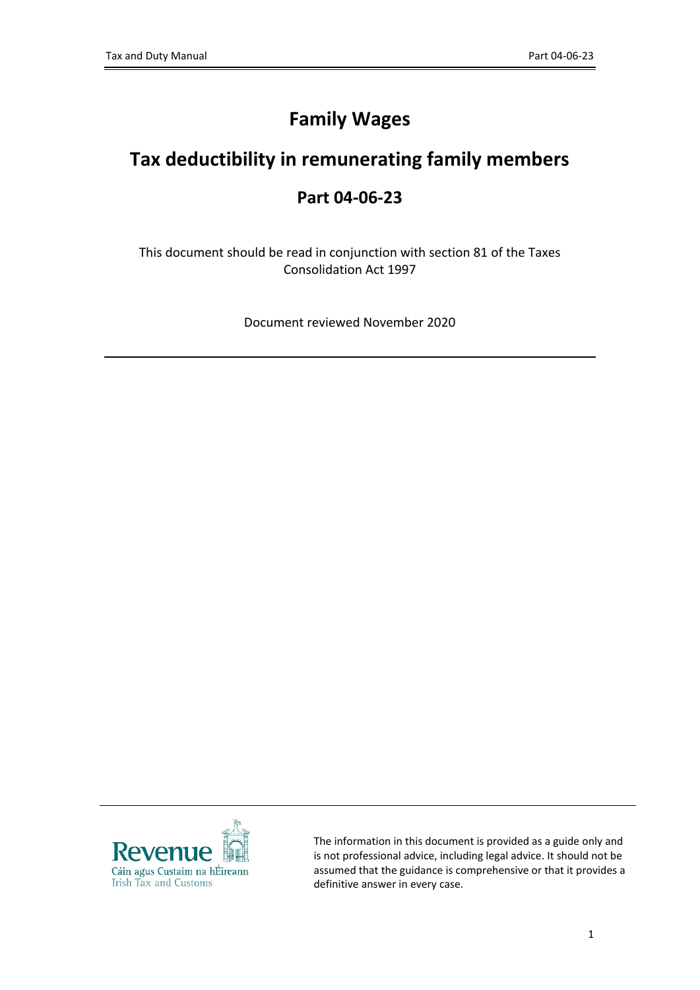# **Family Wages**

# **Tax deductibility in remunerating family members**

## **Part 04-06-23**

This document should be read in conjunction with section 81 of the Taxes Consolidation Act 1997

Document reviewed November 2020



The information in this document is provided as a guide only and is not professional advice, including legal advice. It should not be assumed that the guidance is comprehensive or that it provides a definitive answer in every case.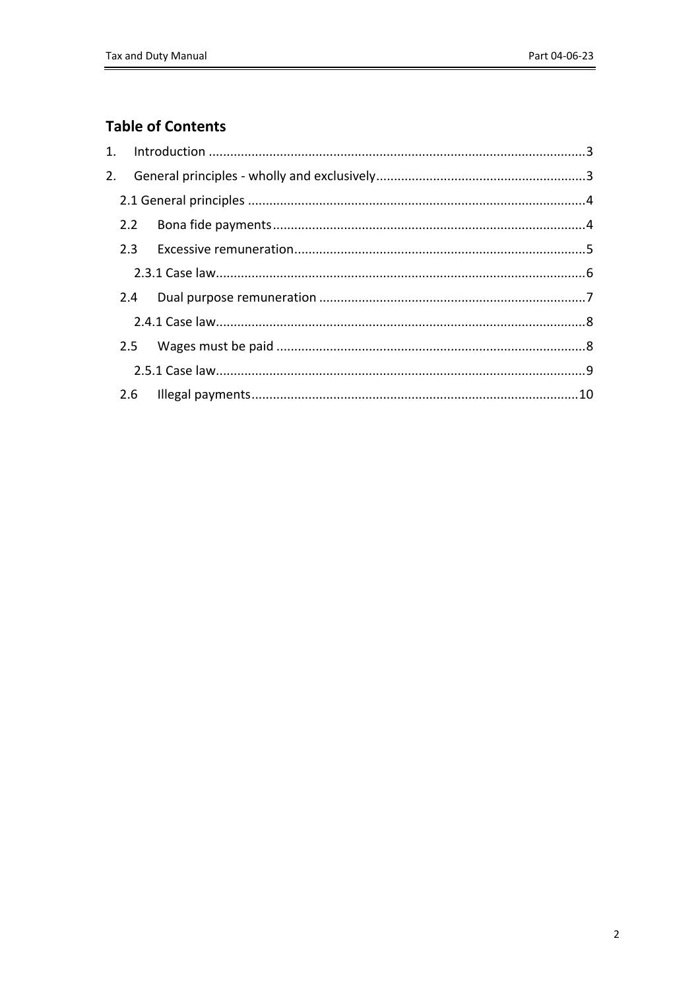## **Table of Contents**

| 2. |  |  |
|----|--|--|
|    |  |  |
|    |  |  |
|    |  |  |
|    |  |  |
|    |  |  |
|    |  |  |
|    |  |  |
|    |  |  |
|    |  |  |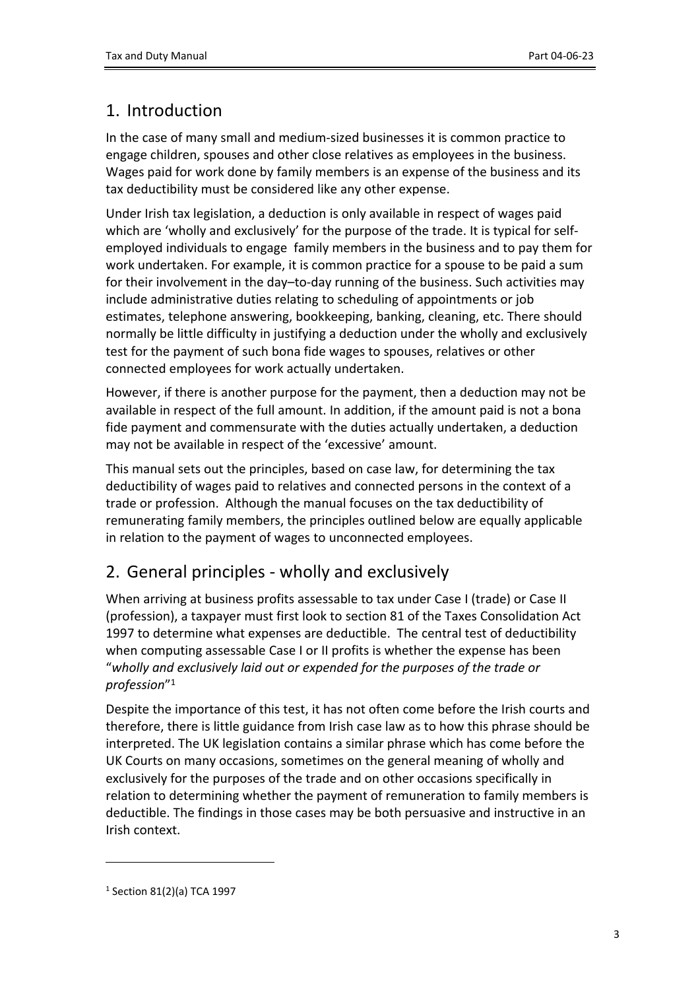## <span id="page-2-0"></span>1. Introduction

In the case of many small and medium-sized businesses it is common practice to engage children, spouses and other close relatives as employees in the business. Wages paid for work done by family members is an expense of the business and its tax deductibility must be considered like any other expense.

Under Irish tax legislation, a deduction is only available in respect of wages paid which are 'wholly and exclusively' for the purpose of the trade. It is typical for selfemployed individuals to engage family members in the business and to pay them for work undertaken. For example, it is common practice for a spouse to be paid a sum for their involvement in the day–to-day running of the business. Such activities may include administrative duties relating to scheduling of appointments or job estimates, telephone answering, bookkeeping, banking, cleaning, etc. There should normally be little difficulty in justifying a deduction under the wholly and exclusively test for the payment of such bona fide wages to spouses, relatives or other connected employees for work actually undertaken.

However, if there is another purpose for the payment, then a deduction may not be available in respect of the full amount. In addition, if the amount paid is not a bona fide payment and commensurate with the duties actually undertaken, a deduction may not be available in respect of the 'excessive' amount.

This manual sets out the principles, based on case law, for determining the tax deductibility of wages paid to relatives and connected persons in the context of a trade or profession. Although the manual focuses on the tax deductibility of remunerating family members, the principles outlined below are equally applicable in relation to the payment of wages to unconnected employees.

## <span id="page-2-1"></span>2. General principles - wholly and exclusively

When arriving at business profits assessable to tax under Case I (trade) or Case II (profession), a taxpayer must first look to section 81 of the Taxes Consolidation Act 1997 to determine what expenses are deductible. The central test of deductibility when computing assessable Case I or II profits is whether the expense has been "*wholly and exclusively laid out or expended for the purposes of the trade or profession*" 1

Despite the importance of this test, it has not often come before the Irish courts and therefore, there is little guidance from Irish case law as to how this phrase should be interpreted. The UK legislation contains a similar phrase which has come before the UK Courts on many occasions, sometimes on the general meaning of wholly and exclusively for the purposes of the trade and on other occasions specifically in relation to determining whether the payment of remuneration to family members is deductible. The findings in those cases may be both persuasive and instructive in an Irish context.

<sup>1</sup> Section 81(2)(a) TCA 1997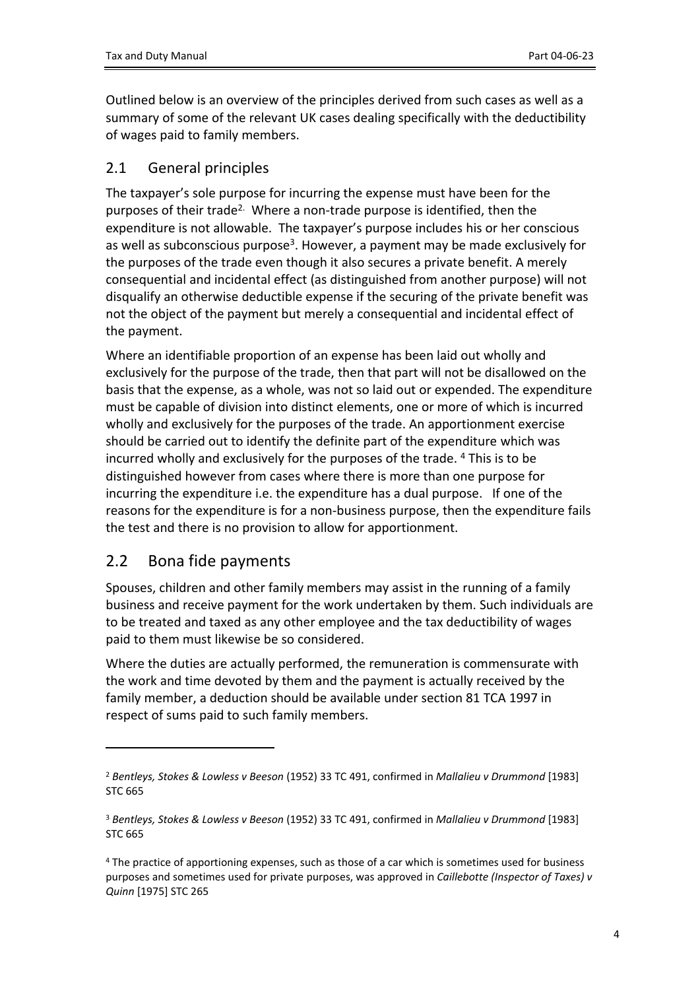Outlined below is an overview of the principles derived from such cases as well as a summary of some of the relevant UK cases dealing specifically with the deductibility of wages paid to family members.

## <span id="page-3-0"></span>2.1 General principles

The taxpayer's sole purpose for incurring the expense must have been for the purposes of their trade<sup>2.</sup> Where a non-trade purpose is identified, then the expenditure is not allowable. The taxpayer's purpose includes his or her conscious as well as subconscious purpose<sup>3</sup>. However, a payment may be made exclusively for the purposes of the trade even though it also secures a private benefit. A merely consequential and incidental effect (as distinguished from another purpose) will not disqualify an otherwise deductible expense if the securing of the private benefit was not the object of the payment but merely a consequential and incidental effect of the payment.

Where an identifiable proportion of an expense has been laid out wholly and exclusively for the purpose of the trade, then that part will not be disallowed on the basis that the expense, as a whole, was not so laid out or expended. The expenditure must be capable of division into distinct elements, one or more of which is incurred wholly and exclusively for the purposes of the trade. An apportionment exercise should be carried out to identify the definite part of the expenditure which was incurred wholly and exclusively for the purposes of the trade. <sup>4</sup> This is to be distinguished however from cases where there is more than one purpose for incurring the expenditure i.e. the expenditure has a dual purpose. If one of the reasons for the expenditure is for a non-business purpose, then the expenditure fails the test and there is no provision to allow for apportionment.

## <span id="page-3-1"></span>2.2 Bona fide payments

Spouses, children and other family members may assist in the running of a family business and receive payment for the work undertaken by them. Such individuals are to be treated and taxed as any other employee and the tax deductibility of wages paid to them must likewise be so considered.

Where the duties are actually performed, the remuneration is commensurate with the work and time devoted by them and the payment is actually received by the family member, a deduction should be available under section 81 TCA 1997 in respect of sums paid to such family members.

<sup>2</sup> *Bentleys, Stokes & Lowless v Beeson* (1952) 33 TC 491, confirmed in *Mallalieu v Drummond* [1983] STC 665

<sup>3</sup> *Bentleys, Stokes & Lowless v Beeson* (1952) 33 TC 491, confirmed in *Mallalieu v Drummond* [1983] STC 665

<sup>4</sup> The practice of apportioning expenses, such as those of a car which is sometimes used for business purposes and sometimes used for private purposes, was approved in *Caillebotte (Inspector of Taxes) v Quinn* [1975] STC 265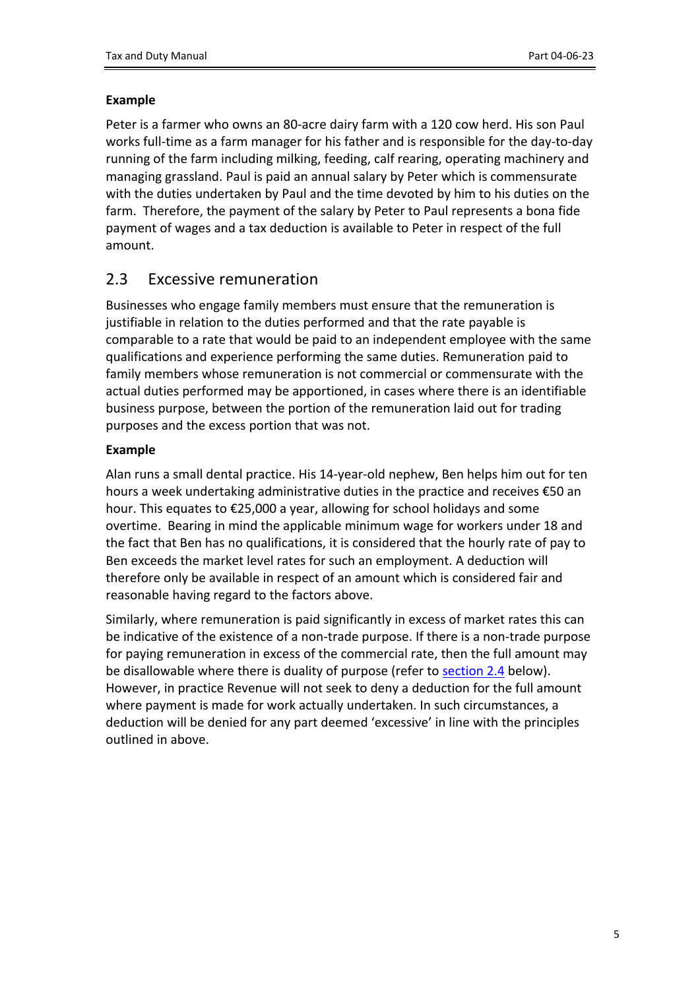#### **Example**

Peter is a farmer who owns an 80-acre dairy farm with a 120 cow herd. His son Paul works full-time as a farm manager for his father and is responsible for the day-to-day running of the farm including milking, feeding, calf rearing, operating machinery and managing grassland. Paul is paid an annual salary by Peter which is commensurate with the duties undertaken by Paul and the time devoted by him to his duties on the farm. Therefore, the payment of the salary by Peter to Paul represents a bona fide payment of wages and a tax deduction is available to Peter in respect of the full amount.

## <span id="page-4-0"></span>2.3 Excessive remuneration

Businesses who engage family members must ensure that the remuneration is justifiable in relation to the duties performed and that the rate payable is comparable to a rate that would be paid to an independent employee with the same qualifications and experience performing the same duties. Remuneration paid to family members whose remuneration is not commercial or commensurate with the actual duties performed may be apportioned, in cases where there is an identifiable business purpose, between the portion of the remuneration laid out for trading purposes and the excess portion that was not.

### **Example**

Alan runs a small dental practice. His 14-year-old nephew, Ben helps him out for ten hours a week undertaking administrative duties in the practice and receives €50 an hour. This equates to €25,000 a year, allowing for school holidays and some overtime. Bearing in mind the applicable minimum wage for workers under 18 and the fact that Ben has no qualifications, it is considered that the hourly rate of pay to Ben exceeds the market level rates for such an employment. A deduction will therefore only be available in respect of an amount which is considered fair and reasonable having regard to the factors above.

Similarly, where remuneration is paid significantly in excess of market rates this can be indicative of the existence of a non-trade purpose. If there is a non-trade purpose for paying remuneration in excess of the commercial rate, then the full amount may be disallowable where there is duality of purpose (refer to [section](#page-6-0) [2.4](#page-6-0) below). However, in practice Revenue will not seek to deny a deduction for the full amount where payment is made for work actually undertaken. In such circumstances, a deduction will be denied for any part deemed 'excessive' in line with the principles outlined in above.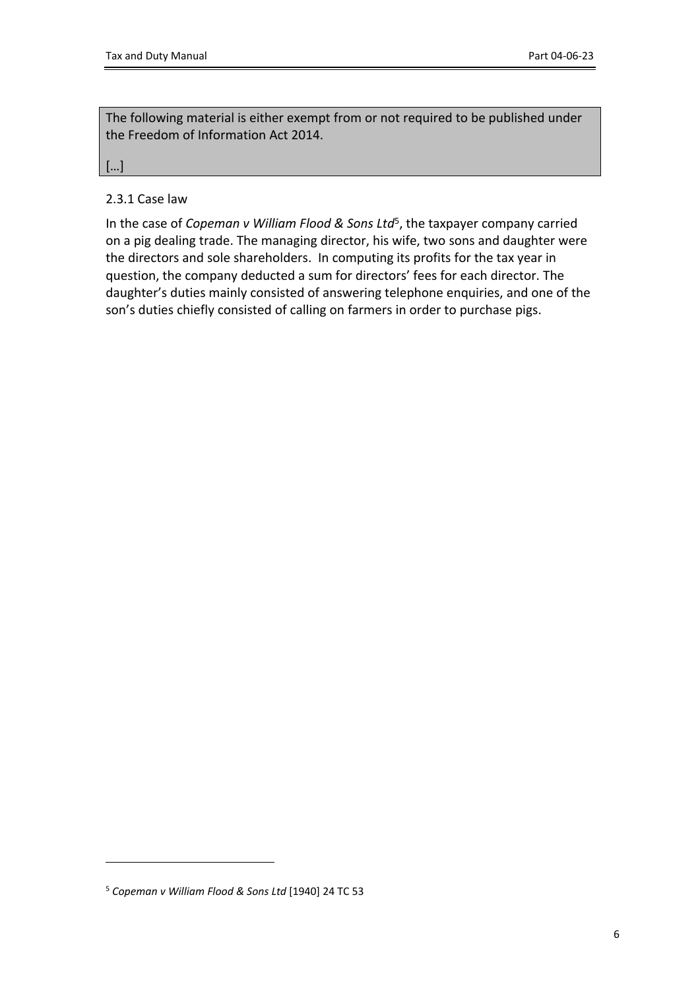The following material is either exempt from or not required to be published under the Freedom of Information Act 2014.

[…]

### <span id="page-5-0"></span>2.3.1 Case law

In the case of *Copeman v William Flood & Sons Ltd*<sup>5</sup> , the taxpayer company carried on a pig dealing trade. The managing director, his wife, two sons and daughter were the directors and sole shareholders. In computing its profits for the tax year in question, the company deducted a sum for directors' fees for each director. The daughter's duties mainly consisted of answering telephone enquiries, and one of the son's duties chiefly consisted of calling on farmers in order to purchase pigs.

<sup>5</sup> *Copeman v William Flood & Sons Ltd* [1940] 24 TC 53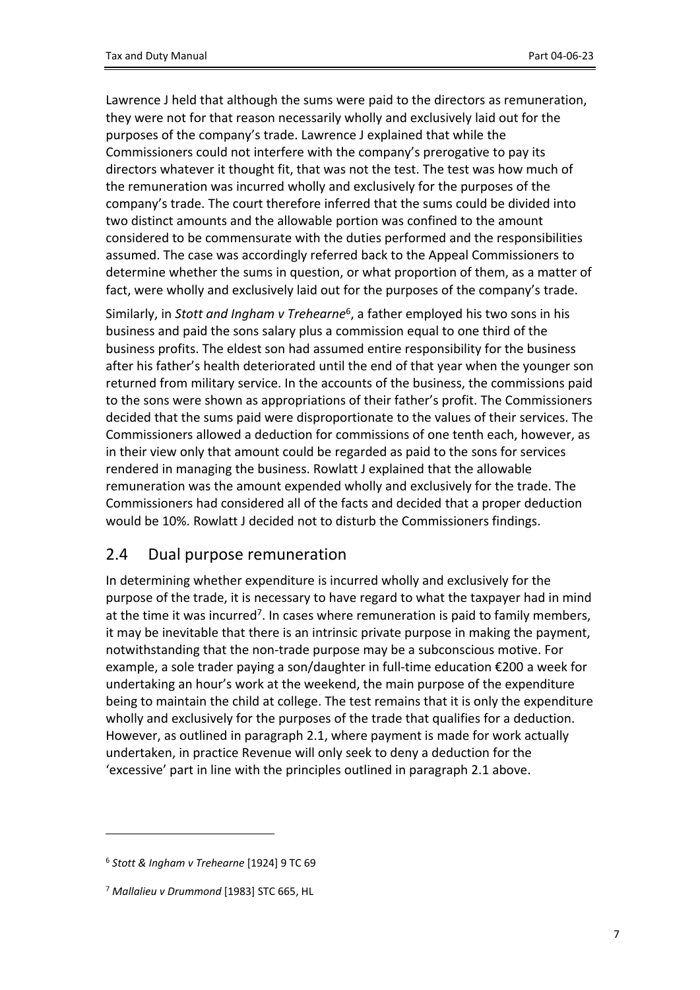Lawrence J held that although the sums were paid to the directors as remuneration, they were not for that reason necessarily wholly and exclusively laid out for the purposes of the company's trade. Lawrence J explained that while the Commissioners could not interfere with the company's prerogative to pay its directors whatever it thought fit, that was not the test. The test was how much of the remuneration was incurred wholly and exclusively for the purposes of the company's trade. The court therefore inferred that the sums could be divided into two distinct amounts and the allowable portion was confined to the amount considered to be commensurate with the duties performed and the responsibilities assumed. The case was accordingly referred back to the Appeal Commissioners to determine whether the sums in question, or what proportion of them, as a matter of fact, were wholly and exclusively laid out for the purposes of the company's trade.

Similarly, in *Stott and Ingham v Trehearne*<sup>6</sup> , a father employed his two sons in his business and paid the sons salary plus a commission equal to one third of the business profits. The eldest son had assumed entire responsibility for the business after his father's health deteriorated until the end of that year when the younger son returned from military service. In the accounts of the business, the commissions paid to the sons were shown as appropriations of their father's profit. The Commissioners decided that the sums paid were disproportionate to the values of their services. The Commissioners allowed a deduction for commissions of one tenth each, however, as in their view only that amount could be regarded as paid to the sons for services rendered in managing the business. Rowlatt J explained that the allowable remuneration was the amount expended wholly and exclusively for the trade. The Commissioners had considered all of the facts and decided that a proper deduction would be 10%. Rowlatt J decided not to disturb the Commissioners findings.

### <span id="page-6-0"></span>2.4 Dual purpose remuneration

In determining whether expenditure is incurred wholly and exclusively for the purpose of the trade, it is necessary to have regard to what the taxpayer had in mind at the time it was incurred<sup>7</sup>. In cases where remuneration is paid to family members, it may be inevitable that there is an intrinsic private purpose in making the payment, notwithstanding that the non-trade purpose may be a subconscious motive. For example, a sole trader paying a son/daughter in full-time education €200 a week for undertaking an hour's work at the weekend, the main purpose of the expenditure being to maintain the child at college. The test remains that it is only the expenditure wholly and exclusively for the purposes of the trade that qualifies for a deduction. However, as outlined in paragraph 2.1, where payment is made for work actually undertaken, in practice Revenue will only seek to deny a deduction for the 'excessive' part in line with the principles outlined in paragraph 2.1 above.

<sup>6</sup> *Stott & Ingham v Trehearne* [1924] 9 TC 69

<sup>7</sup> *Mallalieu v Drummond* [1983] STC 665, HL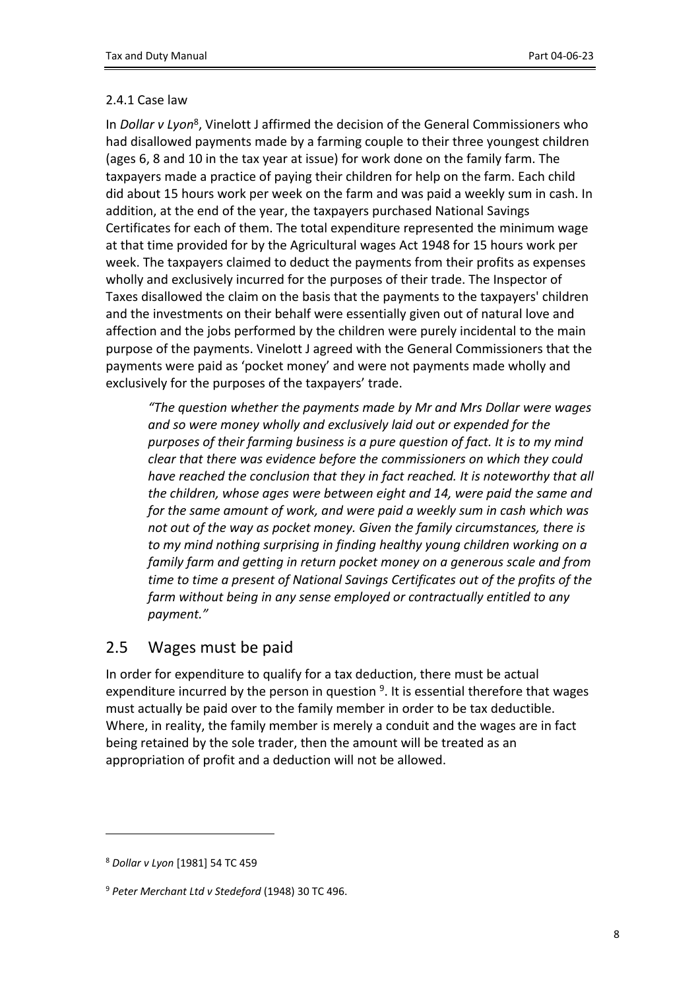#### <span id="page-7-0"></span>2.4.1 Case law

In *Dollar v Lyon*<sup>8</sup> , Vinelott J affirmed the decision of the General Commissioners who had disallowed payments made by a farming couple to their three youngest children (ages 6, 8 and 10 in the tax year at issue) for work done on the family farm. The taxpayers made a practice of paying their children for help on the farm. Each child did about 15 hours work per week on the farm and was paid a weekly sum in cash. In addition, at the end of the year, the taxpayers purchased National Savings Certificates for each of them. The total expenditure represented the minimum wage at that time provided for by the Agricultural wages Act 1948 for 15 hours work per week. The taxpayers claimed to deduct the payments from their profits as expenses wholly and exclusively incurred for the purposes of their trade. The Inspector of Taxes disallowed the claim on the basis that the payments to the taxpayers' children and the investments on their behalf were essentially given out of natural love and affection and the jobs performed by the children were purely incidental to the main purpose of the payments. Vinelott J agreed with the General Commissioners that the payments were paid as 'pocket money' and were not payments made wholly and exclusively for the purposes of the taxpayers' trade.

*"The question whether the payments made by Mr and Mrs Dollar were wages and so were money wholly and exclusively laid out or expended for the purposes of their farming business is a pure question of fact. It is to my mind clear that there was evidence before the commissioners on which they could have reached the conclusion that they in fact reached. It is noteworthy that all the children, whose ages were between eight and 14, were paid the same and for the same amount of work, and were paid a weekly sum in cash which was not out of the way as pocket money. Given the family circumstances, there is to my mind nothing surprising in finding healthy young children working on a family farm and getting in return pocket money on a generous scale and from time to time a present of National Savings Certificates out of the profits of the farm without being in any sense employed or contractually entitled to any payment."*

## <span id="page-7-1"></span>2.5 Wages must be paid

In order for expenditure to qualify for a tax deduction, there must be actual expenditure incurred by the person in question <sup>9</sup>. It is essential therefore that wages must actually be paid over to the family member in order to be tax deductible. Where, in reality, the family member is merely a conduit and the wages are in fact being retained by the sole trader, then the amount will be treated as an appropriation of profit and a deduction will not be allowed.

<sup>8</sup> *Dollar v Lyon* [1981] 54 TC 459

<sup>9</sup> *Peter Merchant Ltd v Stedeford* (1948) 30 TC 496.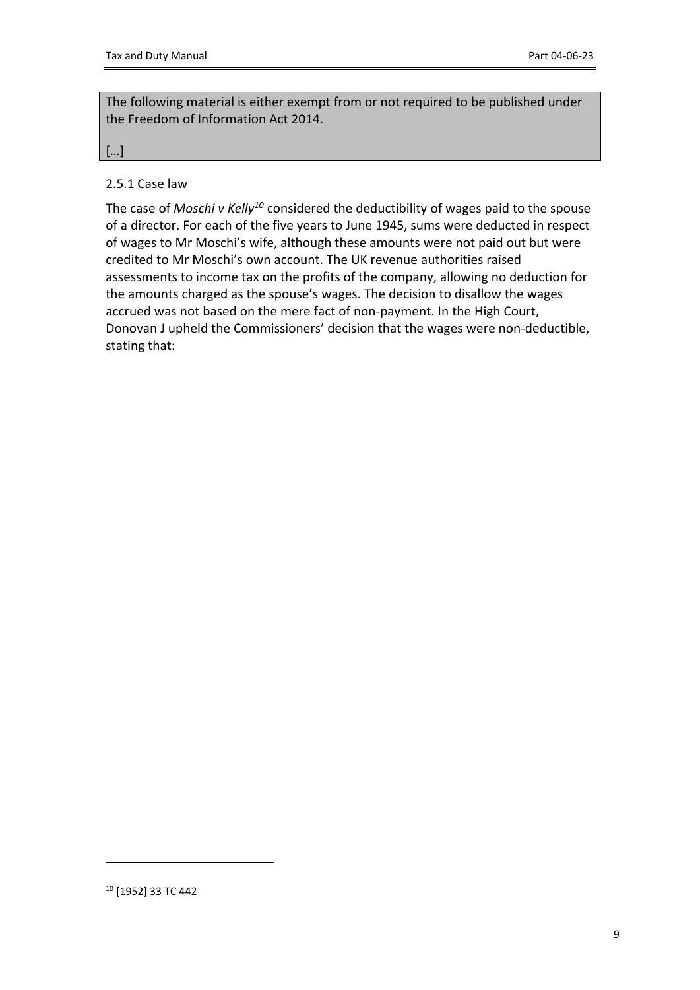The following material is either exempt from or not required to be published under the Freedom of Information Act 2014.

[…]

#### <span id="page-8-0"></span>2.5.1 Case law

The case of *Moschi v Kelly<sup>10</sup>* considered the deductibility of wages paid to the spouse of a director. For each of the five years to June 1945, sums were deducted in respect of wages to Mr Moschi's wife, although these amounts were not paid out but were credited to Mr Moschi's own account. The UK revenue authorities raised assessments to income tax on the profits of the company, allowing no deduction for the amounts charged as the spouse's wages. The decision to disallow the wages accrued was not based on the mere fact of non-payment. In the High Court, Donovan J upheld the Commissioners' decision that the wages were non-deductible, stating that: